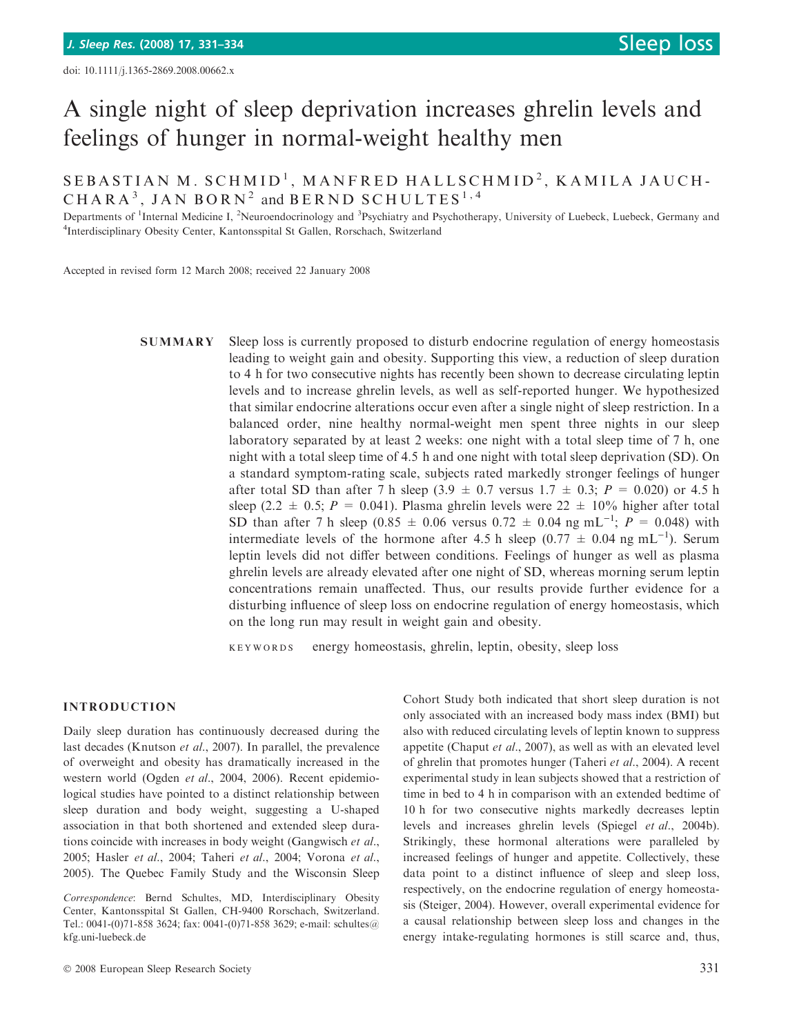# A single night of sleep deprivation increases ghrelin levels and feelings of hunger in normal-weight healthy men

SEBASTIAN M. SCHMID<sup>1</sup>, MANFRED HALLSCHMID<sup>2</sup>, KAMILA JAUCH-CHARA<sup>3</sup>, JAN BORN<sup>2</sup> and BERND SCHULTES<sup>1,4</sup>

Departments of <sup>1</sup>Internal Medicine I, <sup>2</sup>Neuroendocrinology and <sup>3</sup>Psychiatry and Psychotherapy, University of Luebeck, Luebeck, Germany and 4 Interdisciplinary Obesity Center, Kantonsspital St Gallen, Rorschach, Switzerland

Accepted in revised form 12 March 2008; received 22 January 2008

SUMMARY Sleep loss is currently proposed to disturb endocrine regulation of energy homeostasis leading to weight gain and obesity. Supporting this view, a reduction of sleep duration to 4 h for two consecutive nights has recently been shown to decrease circulating leptin levels and to increase ghrelin levels, as well as self-reported hunger. We hypothesized that similar endocrine alterations occur even after a single night of sleep restriction. In a balanced order, nine healthy normal-weight men spent three nights in our sleep laboratory separated by at least 2 weeks: one night with a total sleep time of 7 h, one night with a total sleep time of 4.5 h and one night with total sleep deprivation (SD). On a standard symptom-rating scale, subjects rated markedly stronger feelings of hunger after total SD than after 7 h sleep (3.9  $\pm$  0.7 versus 1.7  $\pm$  0.3; P = 0.020) or 4.5 h sleep (2.2  $\pm$  0.5; P = 0.041). Plasma ghrelin levels were 22  $\pm$  10% higher after total SD than after 7 h sleep (0.85  $\pm$  0.06 versus 0.72  $\pm$  0.04 ng mL<sup>-1</sup>;  $P = 0.048$ ) with intermediate levels of the hormone after 4.5 h sleep  $(0.77 \pm 0.04 \text{ ng } \text{mL}^{-1})$ . Serum leptin levels did not differ between conditions. Feelings of hunger as well as plasma ghrelin levels are already elevated after one night of SD, whereas morning serum leptin concentrations remain unaffected. Thus, our results provide further evidence for a disturbing influence of sleep loss on endocrine regulation of energy homeostasis, which on the long run may result in weight gain and obesity.

keywords energy homeostasis, ghrelin, leptin, obesity, sleep loss

#### INTRODUCTION

Daily sleep duration has continuously decreased during the last decades (Knutson et al., 2007). In parallel, the prevalence of overweight and obesity has dramatically increased in the western world (Ogden et al., 2004, 2006). Recent epidemiological studies have pointed to a distinct relationship between sleep duration and body weight, suggesting a U-shaped association in that both shortened and extended sleep durations coincide with increases in body weight (Gangwisch et al., 2005; Hasler et al., 2004; Taheri et al., 2004; Vorona et al., 2005). The Quebec Family Study and the Wisconsin Sleep Cohort Study both indicated that short sleep duration is not only associated with an increased body mass index (BMI) but also with reduced circulating levels of leptin known to suppress appetite (Chaput et al., 2007), as well as with an elevated level of ghrelin that promotes hunger (Taheri et al., 2004). A recent experimental study in lean subjects showed that a restriction of time in bed to 4 h in comparison with an extended bedtime of 10 h for two consecutive nights markedly decreases leptin levels and increases ghrelin levels (Spiegel et al., 2004b). Strikingly, these hormonal alterations were paralleled by increased feelings of hunger and appetite. Collectively, these data point to a distinct influence of sleep and sleep loss, respectively, on the endocrine regulation of energy homeostasis (Steiger, 2004). However, overall experimental evidence for a causal relationship between sleep loss and changes in the energy intake-regulating hormones is still scarce and, thus,

Correspondence: Bernd Schultes, MD, Interdisciplinary Obesity Center, Kantonsspital St Gallen, CH-9400 Rorschach, Switzerland. Tel.: 0041-(0)71-858 3624; fax: 0041-(0)71-858 3629; e-mail: schultes@ kfg.uni-luebeck.de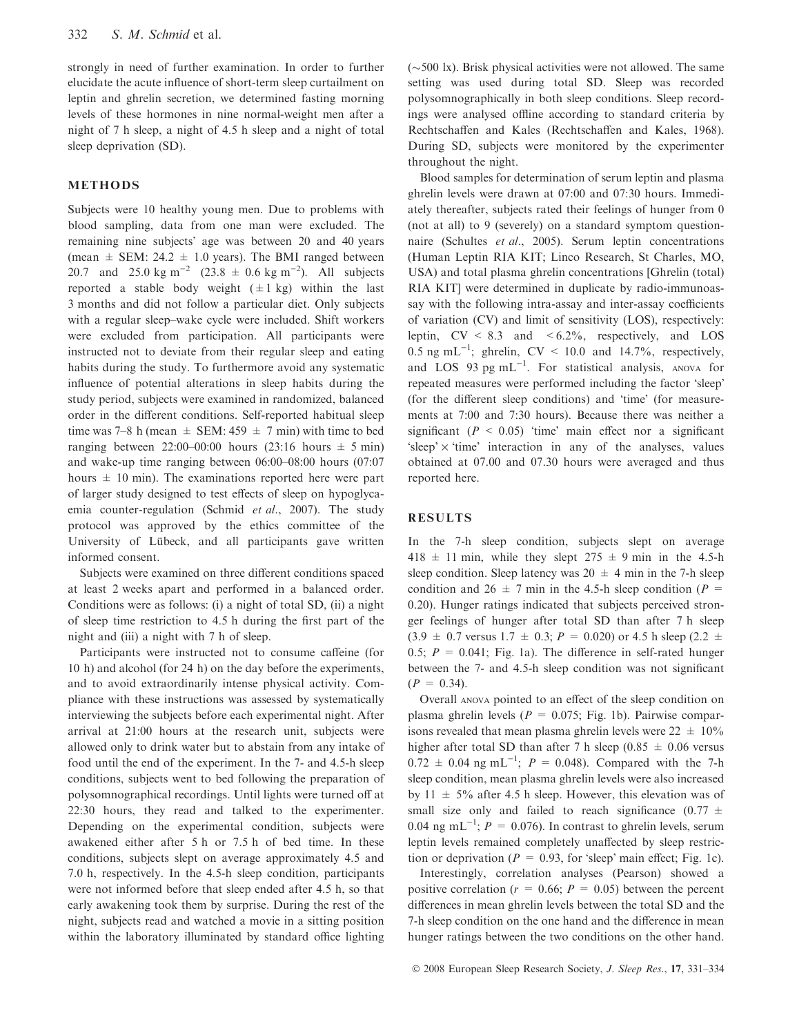strongly in need of further examination. In order to further elucidate the acute influence of short-term sleep curtailment on leptin and ghrelin secretion, we determined fasting morning levels of these hormones in nine normal-weight men after a night of 7 h sleep, a night of 4.5 h sleep and a night of total sleep deprivation (SD).

## METHODS

Subjects were 10 healthy young men. Due to problems with blood sampling, data from one man were excluded. The remaining nine subjects' age was between 20 and 40 years (mean  $\pm$  SEM: 24.2  $\pm$  1.0 years). The BMI ranged between 20.7 and 25.0 kg m<sup>-2</sup> (23.8  $\pm$  0.6 kg m<sup>-2</sup>). All subjects reported a stable body weight  $(\pm 1 \text{ kg})$  within the last 3 months and did not follow a particular diet. Only subjects with a regular sleep–wake cycle were included. Shift workers were excluded from participation. All participants were instructed not to deviate from their regular sleep and eating habits during the study. To furthermore avoid any systematic influence of potential alterations in sleep habits during the study period, subjects were examined in randomized, balanced order in the different conditions. Self-reported habitual sleep time was 7–8 h (mean  $\pm$  SEM: 459  $\pm$  7 min) with time to bed ranging between 22:00–00:00 hours (23:16 hours  $\pm$  5 min) and wake-up time ranging between 06:00–08:00 hours (07:07 hours  $\pm$  10 min). The examinations reported here were part of larger study designed to test effects of sleep on hypoglycaemia counter-regulation (Schmid et al., 2007). The study protocol was approved by the ethics committee of the University of Lübeck, and all participants gave written informed consent.

Subjects were examined on three different conditions spaced at least 2 weeks apart and performed in a balanced order. Conditions were as follows: (i) a night of total SD, (ii) a night of sleep time restriction to 4.5 h during the first part of the night and (iii) a night with 7 h of sleep.

Participants were instructed not to consume caffeine (for 10 h) and alcohol (for 24 h) on the day before the experiments, and to avoid extraordinarily intense physical activity. Compliance with these instructions was assessed by systematically interviewing the subjects before each experimental night. After arrival at 21:00 hours at the research unit, subjects were allowed only to drink water but to abstain from any intake of food until the end of the experiment. In the 7- and 4.5-h sleep conditions, subjects went to bed following the preparation of polysomnographical recordings. Until lights were turned off at 22:30 hours, they read and talked to the experimenter. Depending on the experimental condition, subjects were awakened either after 5 h or 7.5 h of bed time. In these conditions, subjects slept on average approximately 4.5 and 7.0 h, respectively. In the 4.5-h sleep condition, participants were not informed before that sleep ended after 4.5 h, so that early awakening took them by surprise. During the rest of the night, subjects read and watched a movie in a sitting position within the laboratory illuminated by standard office lighting

 $(\sim 500 \text{ lx})$ . Brisk physical activities were not allowed. The same setting was used during total SD. Sleep was recorded polysomnographically in both sleep conditions. Sleep recordings were analysed offline according to standard criteria by Rechtschaffen and Kales (Rechtschaffen and Kales, 1968). During SD, subjects were monitored by the experimenter throughout the night.

Blood samples for determination of serum leptin and plasma ghrelin levels were drawn at 07:00 and 07:30 hours. Immediately thereafter, subjects rated their feelings of hunger from 0 (not at all) to 9 (severely) on a standard symptom questionnaire (Schultes et al., 2005). Serum leptin concentrations (Human Leptin RIA KIT; Linco Research, St Charles, MO, USA) and total plasma ghrelin concentrations [Ghrelin (total) RIA KIT] were determined in duplicate by radio-immunoassay with the following intra-assay and inter-assay coefficients of variation (CV) and limit of sensitivity (LOS), respectively: leptin,  $CV < 8.3$  and  $< 6.2\%$ , respectively, and LOS 0.5 ng mL<sup>-1</sup>; ghrelin, CV < 10.0 and 14.7%, respectively, and LOS 93 pg  $mL^{-1}$ . For statistical analysis, ANOVA for repeated measures were performed including the factor 'sleep' (for the different sleep conditions) and 'time' (for measurements at 7:00 and 7:30 hours). Because there was neither a significant ( $P < 0.05$ ) 'time' main effect nor a significant 'sleep'  $\times$  'time' interaction in any of the analyses, values obtained at 07.00 and 07.30 hours were averaged and thus reported here.

## RESULTS

In the 7-h sleep condition, subjects slept on average  $418 \pm 11$  min, while they slept  $275 \pm 9$  min in the 4.5-h sleep condition. Sleep latency was  $20 \pm 4$  min in the 7-h sleep condition and 26  $\pm$  7 min in the 4.5-h sleep condition (P = 0.20). Hunger ratings indicated that subjects perceived stronger feelings of hunger after total SD than after 7 h sleep  $(3.9 \pm 0.7 \text{ versus } 1.7 \pm 0.3; P = 0.020) \text{ or } 4.5 \text{ h sleep } (2.2 \pm 1.7)$ 0.5;  $P = 0.041$ ; Fig. 1a). The difference in self-rated hunger between the 7- and 4.5-h sleep condition was not significant  $(P = 0.34)$ .

Overall anova pointed to an effect of the sleep condition on plasma ghrelin levels ( $P = 0.075$ ; Fig. 1b). Pairwise comparisons revealed that mean plasma ghrelin levels were  $22 \pm 10\%$ higher after total SD than after 7 h sleep (0.85  $\pm$  0.06 versus  $0.72 \pm 0.04$  ng mL<sup>-1</sup>;  $P = 0.048$ ). Compared with the 7-h sleep condition, mean plasma ghrelin levels were also increased by  $11 \pm 5\%$  after 4.5 h sleep. However, this elevation was of small size only and failed to reach significance  $(0.77 \pm 1)$ 0.04 ng mL<sup>-1</sup>;  $P = 0.076$ ). In contrast to ghrelin levels, serum leptin levels remained completely unaffected by sleep restriction or deprivation ( $P = 0.93$ , for 'sleep' main effect; Fig. 1c).

Interestingly, correlation analyses (Pearson) showed a positive correlation ( $r = 0.66$ ;  $P = 0.05$ ) between the percent differences in mean ghrelin levels between the total SD and the 7-h sleep condition on the one hand and the difference in mean hunger ratings between the two conditions on the other hand.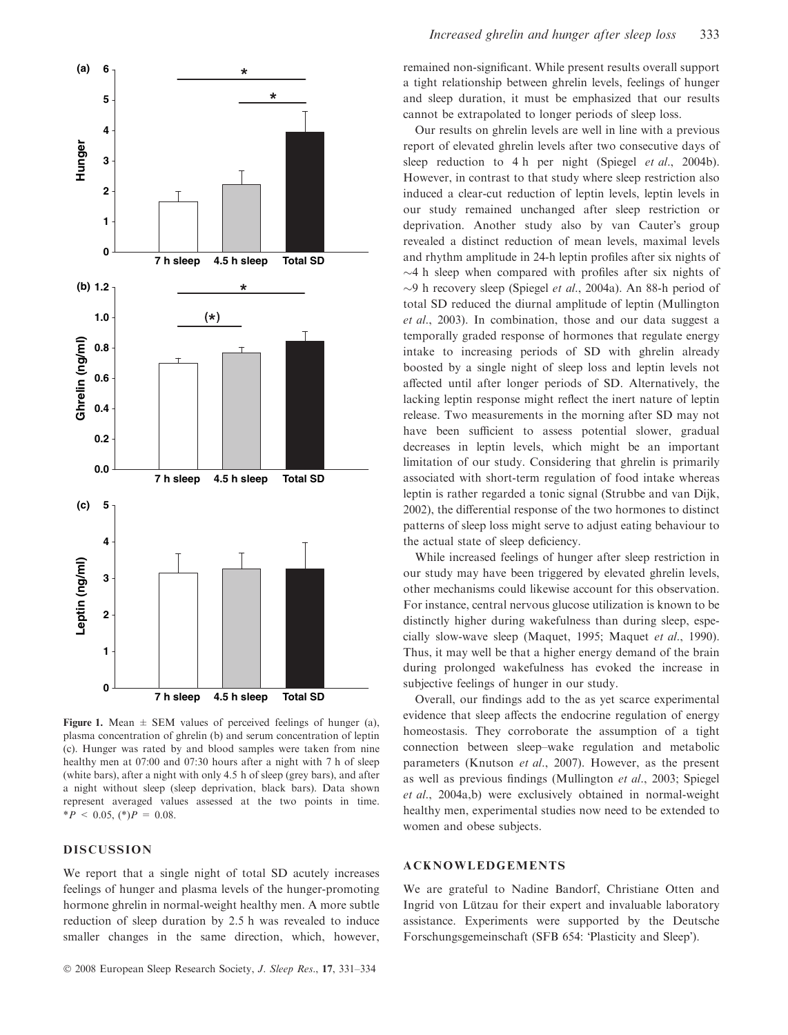

Figure 1. Mean  $\pm$  SEM values of perceived feelings of hunger (a), plasma concentration of ghrelin (b) and serum concentration of leptin (c). Hunger was rated by and blood samples were taken from nine healthy men at 07:00 and 07:30 hours after a night with 7 h of sleep (white bars), after a night with only 4.5 h of sleep (grey bars), and after a night without sleep (sleep deprivation, black bars). Data shown represent averaged values assessed at the two points in time.  $*P < 0.05$ ,  $(*)P = 0.08$ .

## DISCUSSION

We report that a single night of total SD acutely increases feelings of hunger and plasma levels of the hunger-promoting hormone ghrelin in normal-weight healthy men. A more subtle reduction of sleep duration by 2.5 h was revealed to induce smaller changes in the same direction, which, however,

remained non-significant. While present results overall support a tight relationship between ghrelin levels, feelings of hunger and sleep duration, it must be emphasized that our results cannot be extrapolated to longer periods of sleep loss.

Our results on ghrelin levels are well in line with a previous report of elevated ghrelin levels after two consecutive days of sleep reduction to 4 h per night (Spiegel *et al.*, 2004b). However, in contrast to that study where sleep restriction also induced a clear-cut reduction of leptin levels, leptin levels in our study remained unchanged after sleep restriction or deprivation. Another study also by van Cauter's group revealed a distinct reduction of mean levels, maximal levels and rhythm amplitude in 24-h leptin profiles after six nights of  $\sim$ 4 h sleep when compared with profiles after six nights of  $\sim$ 9 h recovery sleep (Spiegel *et al.*, 2004a). An 88-h period of total SD reduced the diurnal amplitude of leptin (Mullington et al., 2003). In combination, those and our data suggest a temporally graded response of hormones that regulate energy intake to increasing periods of SD with ghrelin already boosted by a single night of sleep loss and leptin levels not affected until after longer periods of SD. Alternatively, the lacking leptin response might reflect the inert nature of leptin release. Two measurements in the morning after SD may not have been sufficient to assess potential slower, gradual decreases in leptin levels, which might be an important limitation of our study. Considering that ghrelin is primarily associated with short-term regulation of food intake whereas leptin is rather regarded a tonic signal (Strubbe and van Dijk, 2002), the differential response of the two hormones to distinct patterns of sleep loss might serve to adjust eating behaviour to the actual state of sleep deficiency.

While increased feelings of hunger after sleep restriction in our study may have been triggered by elevated ghrelin levels, other mechanisms could likewise account for this observation. For instance, central nervous glucose utilization is known to be distinctly higher during wakefulness than during sleep, especially slow-wave sleep (Maquet, 1995; Maquet et al., 1990). Thus, it may well be that a higher energy demand of the brain during prolonged wakefulness has evoked the increase in subjective feelings of hunger in our study.

Overall, our findings add to the as yet scarce experimental evidence that sleep affects the endocrine regulation of energy homeostasis. They corroborate the assumption of a tight connection between sleep–wake regulation and metabolic parameters (Knutson et al., 2007). However, as the present as well as previous findings (Mullington et al., 2003; Spiegel et al., 2004a,b) were exclusively obtained in normal-weight healthy men, experimental studies now need to be extended to women and obese subjects.

#### ACKNOWLEDGEMENTS

We are grateful to Nadine Bandorf, Christiane Otten and Ingrid von Lützau for their expert and invaluable laboratory assistance. Experiments were supported by the Deutsche Forschungsgemeinschaft (SFB 654: 'Plasticity and Sleep').